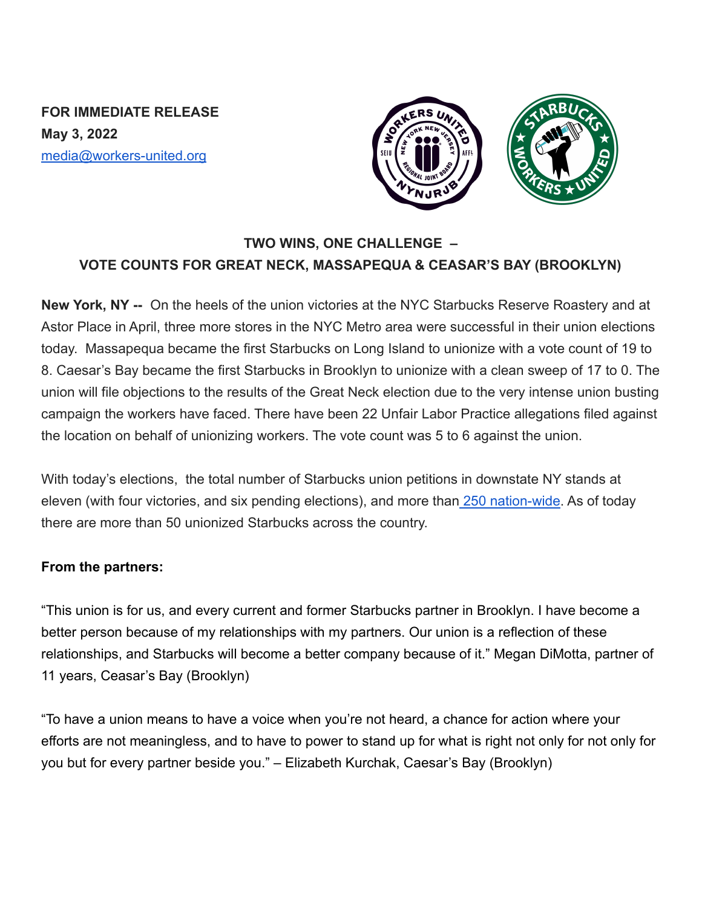**FOR IMMEDIATE RELEASE May 3, 2022** media@workers-united.org



## **TWO WINS, ONE CHALLENGE – VOTE COUNTS FOR GREAT NECK, MASSAPEQUA & CEASAR'S BAY (BROOKLYN)**

**New York, NY --** On the heels of the union victories at the NYC Starbucks Reserve Roastery and at Astor Place in April, three more stores in the NYC Metro area were successful in their union elections today. Massapequa became the first Starbucks on Long Island to unionize with a vote count of 19 to 8. Caesar's Bay became the first Starbucks in Brooklyn to unionize with a clean sweep of 17 to 0. The union will file objections to the results of the Great Neck election due to the very intense union busting campaign the workers have faced. There have been 22 Unfair Labor Practice allegations filed against the location on behalf of unionizing workers. The vote count was 5 to 6 against the union.

With today's elections, the total number of Starbucks union petitions in downstate NY stands at eleven (with four victories, and six pending elections), and more than [250 nation-wide.](https://perfectunion.us/map-where-are-starbucks-workers-unionizing/) As of today there are more than 50 unionized Starbucks across the country.

## **From the partners:**

"This union is for us, and every current and former Starbucks partner in Brooklyn. I have become a better person because of my relationships with my partners. Our union is a reflection of these relationships, and Starbucks will become a better company because of it." Megan DiMotta, partner of 11 years, Ceasar's Bay (Brooklyn)

"To have a union means to have a voice when you're not heard, a chance for action where your efforts are not meaningless, and to have to power to stand up for what is right not only for not only for you but for every partner beside you." – Elizabeth Kurchak, Caesar's Bay (Brooklyn)